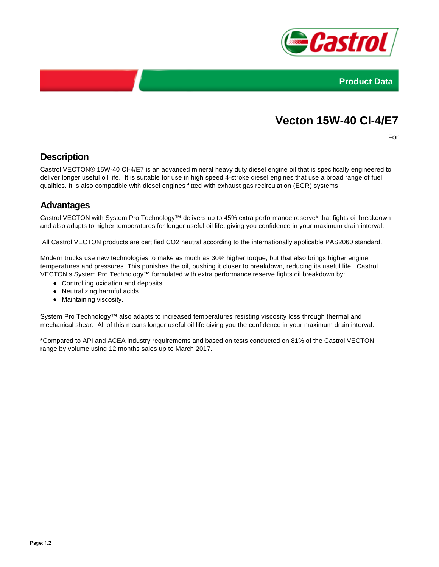



# **Vecton 15W-40 CI-4/E7**

For

## **Description**

Castrol VECTON® 15W-40 CI-4/E7 is an advanced mineral heavy duty diesel engine oil that is specifically engineered to deliver longer useful oil life. It is suitable for use in high speed 4-stroke diesel engines that use a broad range of fuel qualities. It is also compatible with diesel engines fitted with exhaust gas recirculation (EGR) systems

#### **Advantages**

Castrol VECTON with System Pro Technology™ delivers up to 45% extra performance reserve\* that fights oil breakdown and also adapts to higher temperatures for longer useful oil life, giving you confidence in your maximum drain interval.

All Castrol VECTON products are certified CO2 neutral according to the internationally applicable PAS2060 standard.

Modern trucks use new technologies to make as much as 30% higher torque, but that also brings higher engine temperatures and pressures. This punishes the oil, pushing it closer to breakdown, reducing its useful life. Castrol VECTON's System Pro Technology™ formulated with extra performance reserve fights oil breakdown by:

- Controlling oxidation and deposits
- Neutralizing harmful acids
- Maintaining viscosity.

System Pro Technology™ also adapts to increased temperatures resisting viscosity loss through thermal and mechanical shear. All of this means longer useful oil life giving you the confidence in your maximum drain interval.

\*Compared to API and ACEA industry requirements and based on tests conducted on 81% of the Castrol VECTON range by volume using 12 months sales up to March 2017.